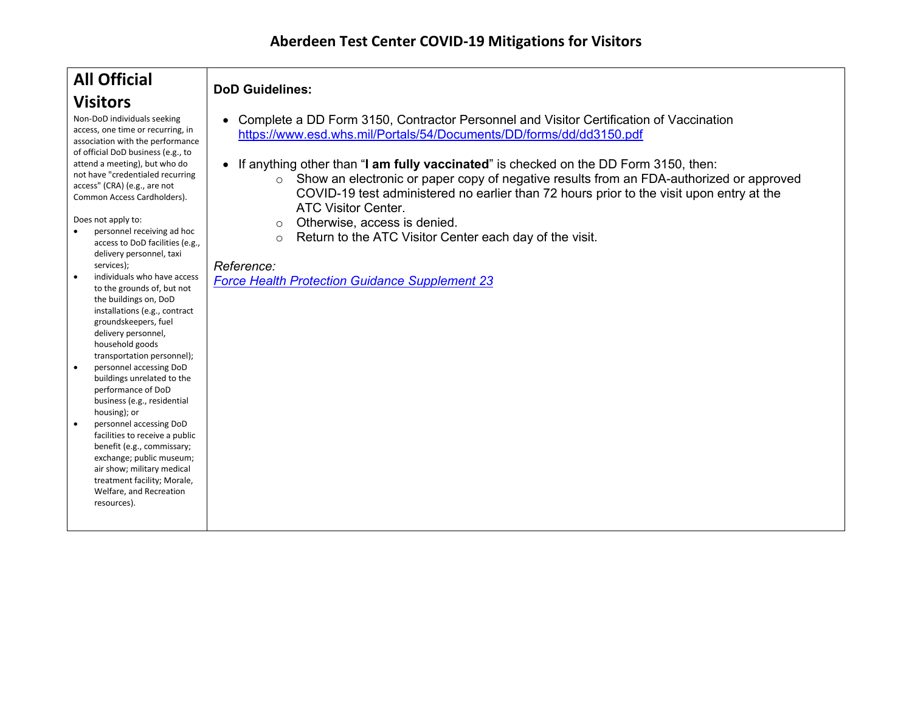# **All Official Visitors**

Non-DoD individuals seeking access, one time or recurring, in association with the performance of official DoD business (e.g., to attend a meeting), but who do not have "credentialed recurring access" (CRA) (e.g., are not Common Access Cardholders).

Does not apply to:

- personnel receiving ad hoc access to DoD facilities (e.g., delivery personnel, taxi services);
- individuals who have access to the grounds of, but not the buildings on, DoD installations (e.g., contract groundskeepers, fuel delivery personnel, household goods transportation personnel);
- personnel accessing DoD buildings unrelated to the performance of DoD business (e.g., residential housing); or
- personnel accessing DoD facilities to receive a public benefit (e.g., commissary; exchange; public museum; air show; military medical treatment facility; Morale, Welfare, and Recreation resources).

### **DoD Guidelines:**

- Complete a DD Form 3150, Contractor Personnel and Visitor Certification of Vaccination <https://www.esd.whs.mil/Portals/54/Documents/DD/forms/dd/dd3150.pdf>
- If anything other than "**I am fully vaccinated**" is checked on the DD Form 3150, then:
	- o Show an electronic or paper copy of negative results from an FDA-authorized or approved COVID-19 test administered no earlier than 72 hours prior to the visit upon entry at the ATC Visitor Center.
	- o Otherwise, access is denied.
	- o Return to the ATC Visitor Center each day of the visit.

#### *Reference:*

*[Force Health Protection Guidance Supplement 23](https://media.defense.gov/2021/Nov/15/2002892852/-1/-1/0/FHP-GUIDANCE-(SUPPLEMENT-23)-REV-2-DOD-GUIDANCE-FOR-COVID-19-VACCINATION-ATTESTATION-SCREENING-TESTING-AND-VACCINATION-VERIFICATION-CORRECTED-COPY.PDF)*